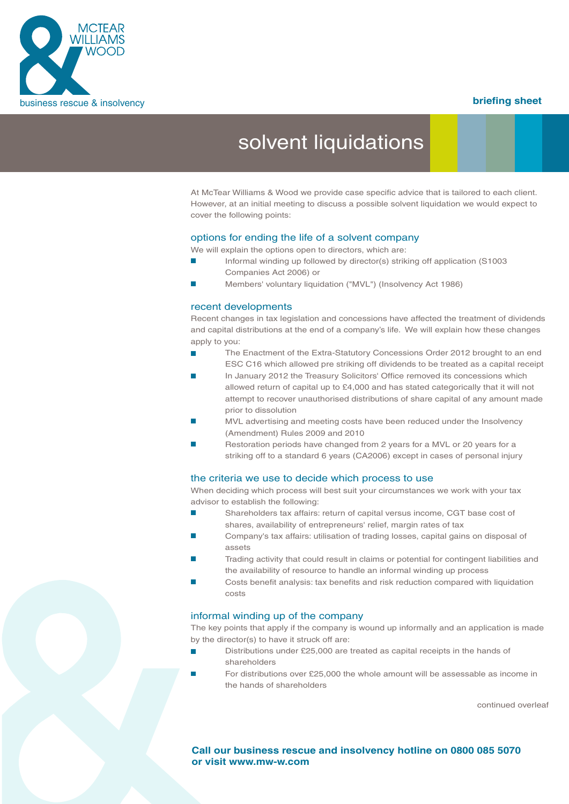

# solvent liquidations

At McTear Williams & Wood we provide case specific advice that is tailored to each client. However, at an initial meeting to discuss a possible solvent liquidation we would expect to cover the following points:

#### options for ending the life of a solvent company

We will explain the options open to directors, which are:

- Informal winding up followed by director(s) striking off application (S1003 Companies Act 2006) or
- Members' voluntary liquidation ("MVL") (Insolvency Act 1986)

#### recent developments

Recent changes in tax legislation and concessions have affected the treatment of dividends and capital distributions at the end of a company's life. We will explain how these changes apply to you:

- The Enactment of the Extra-Statutory Concessions Order 2012 brought to an end ESC C16 which allowed pre striking off dividends to be treated as a capital receipt
- In January 2012 the Treasury Solicitors' Office removed its concessions which allowed return of capital up to £4,000 and has stated categorically that it will not attempt to recover unauthorised distributions of share capital of any amount made prior to dissolution
- MVL advertising and meeting costs have been reduced under the Insolvency (Amendment) Rules 2009 and 2010
- Restoration periods have changed from 2 years for a MVL or 20 years for a striking off to a standard 6 years (CA2006) except in cases of personal injury

#### the criteria we use to decide which process to use

When deciding which process will best suit your circumstances we work with your tax advisor to establish the following:

- Shareholders tax affairs: return of capital versus income, CGT base cost of shares, availability of entrepreneurs' relief, margin rates of tax
- **Example 20** Company's tax affairs: utilisation of trading losses, capital gains on disposal of assets
- Trading activity that could result in claims or potential for contingent liabilities and the availability of resource to handle an informal winding up process
- Costs benefit analysis: tax benefits and risk reduction compared with liquidation costs

#### informal winding up of the company

The key points that apply if the company is wound up informally and an application is made by the director(s) to have it struck off are:

- Distributions under £25,000 are treated as capital receipts in the hands of shareholders
- For distributions over £25,000 the whole amount will be assessable as income in the hands of shareholders

continued overleaf

**Call our business rescue and insolvency hotline on 0800 085 5070 or visit www.mw-w.com**